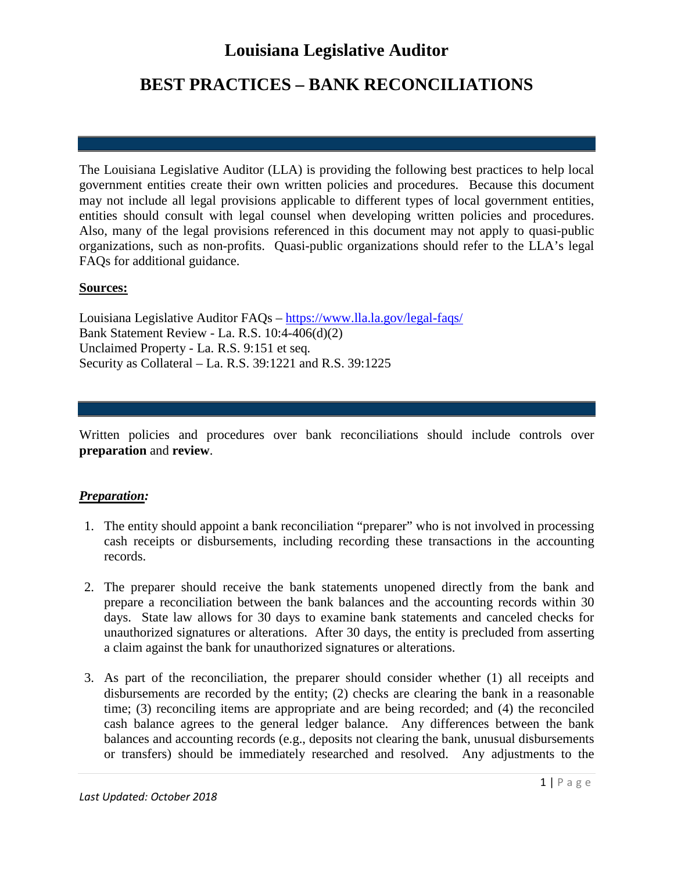# **Louisiana Legislative Auditor**

### **BEST PRACTICES – BANK RECONCILIATIONS**

The Louisiana Legislative Auditor (LLA) is providing the following best practices to help local government entities create their own written policies and procedures. Because this document may not include all legal provisions applicable to different types of local government entities, entities should consult with legal counsel when developing written policies and procedures. Also, many of the legal provisions referenced in this document may not apply to quasi-public organizations, such as non-profits. Quasi-public organizations should refer to the LLA's legal FAQs for additional guidance.

#### **Sources:**

Louisiana Legislative Auditor FAQs – <https://www.lla.la.gov/legal-faqs/> Bank Statement Review - La. R.S. 10:4-406(d)(2) Unclaimed Property - La. R.S. 9:151 et seq*.* Security as Collateral – La. R.S. 39:1221 and R.S. 39:1225

Written policies and procedures over bank reconciliations should include controls over **preparation** and **review**.

#### *Preparation:*

- 1. The entity should appoint a bank reconciliation "preparer" who is not involved in processing cash receipts or disbursements, including recording these transactions in the accounting records.
- 2. The preparer should receive the bank statements unopened directly from the bank and prepare a reconciliation between the bank balances and the accounting records within 30 days. State law allows for 30 days to examine bank statements and canceled checks for unauthorized signatures or alterations. After 30 days, the entity is precluded from asserting a claim against the bank for unauthorized signatures or alterations.
- 3. As part of the reconciliation, the preparer should consider whether (1) all receipts and disbursements are recorded by the entity; (2) checks are clearing the bank in a reasonable time; (3) reconciling items are appropriate and are being recorded; and (4) the reconciled cash balance agrees to the general ledger balance. Any differences between the bank balances and accounting records (e.g., deposits not clearing the bank, unusual disbursements or transfers) should be immediately researched and resolved. Any adjustments to the